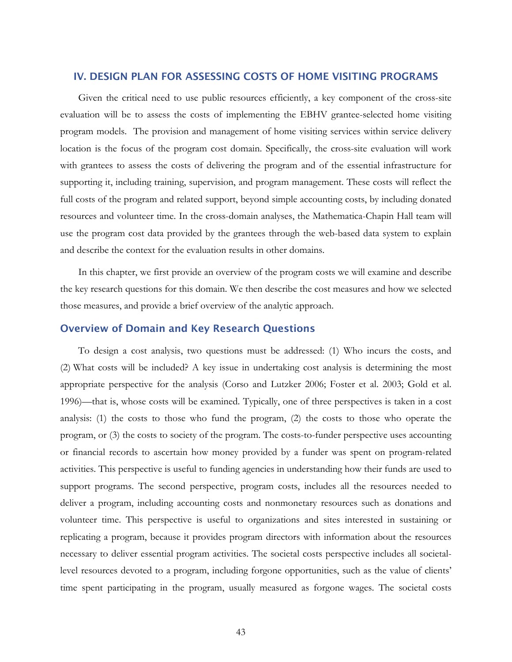# IV. DESIGN PLAN FOR ASSESSING COSTS OF HOME VISITING PROGRAMS

Given the critical need to use public resources efficiently, a key component of the cross-site evaluation will be to assess the costs of implementing the EBHV grantee-selected home visiting program models. The provision and management of home visiting services within service delivery location is the focus of the program cost domain. Specifically, the cross-site evaluation will work with grantees to assess the costs of delivering the program and of the essential infrastructure for supporting it, including training, supervision, and program management. These costs will reflect the full costs of the program and related support, beyond simple accounting costs, by including donated resources and volunteer time. In the cross-domain analyses, the Mathematica-Chapin Hall team will use the program cost data provided by the grantees through the web-based data system to explain and describe the context for the evaluation results in other domains.

In this chapter, we first provide an overview of the program costs we will examine and describe the key research questions for this domain. We then describe the cost measures and how we selected those measures, and provide a brief overview of the analytic approach.

# Overview of Domain and Key Research Questions

To design a cost analysis, two questions must be addressed: (1) Who incurs the costs, and (2) What costs will be included? A key issue in undertaking cost analysis is determining the most appropriate perspective for the analysis (Corso and Lutzker 2006; Foster et al. 2003; Gold et al. 1996)—that is, whose costs will be examined. Typically, one of three perspectives is taken in a cost analysis: (1) the costs to those who fund the program, (2) the costs to those who operate the program, or (3) the costs to society of the program. The costs-to-funder perspective uses accounting or financial records to ascertain how money provided by a funder was spent on program-related activities. This perspective is useful to funding agencies in understanding how their funds are used to support programs. The second perspective, program costs, includes all the resources needed to deliver a program, including accounting costs and nonmonetary resources such as donations and volunteer time. This perspective is useful to organizations and sites interested in sustaining or replicating a program, because it provides program directors with information about the resources necessary to deliver essential program activities. The societal costs perspective includes all societallevel resources devoted to a program, including forgone opportunities, such as the value of clients' time spent participating in the program, usually measured as forgone wages. The societal costs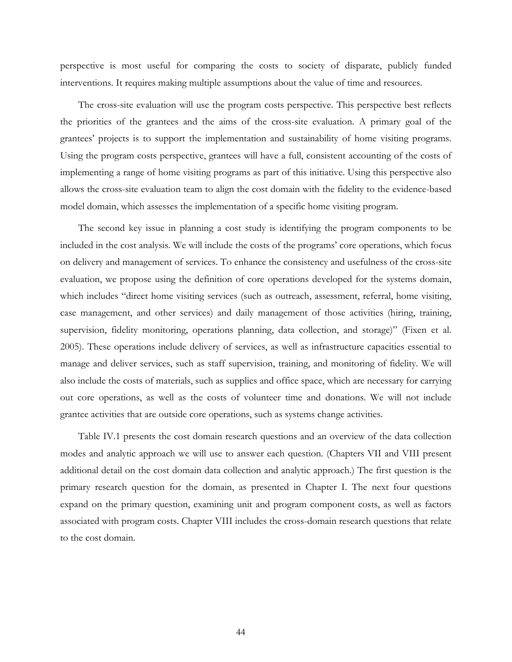perspective is most useful for comparing the costs to society of disparate, publicly funded interventions. It requires making multiple assumptions about the value of time and resources.

The cross-site evaluation will use the program costs perspective. This perspective best reflects the priorities of the grantees and the aims of the cross-site evaluation. A primary goal of the grantees' projects is to support the implementation and sustainability of home visiting programs. Using the program costs perspective, grantees will have a full, consistent accounting of the costs of implementing a range of home visiting programs as part of this initiative. Using this perspective also allows the cross-site evaluation team to align the cost domain with the fidelity to the evidence-based model domain, which assesses the implementation of a specific home visiting program.

The second key issue in planning a cost study is identifying the program components to be included in the cost analysis. We will include the costs of the programs' core operations, which focus on delivery and management of services. To enhance the consistency and usefulness of the cross-site evaluation, we propose using the definition of core operations developed for the systems domain, which includes "direct home visiting services (such as outreach, assessment, referral, home visiting, case management, and other services) and daily management of those activities (hiring, training, supervision, fidelity monitoring, operations planning, data collection, and storage)" (Fixen et al. 2005). These operations include delivery of services, as well as infrastructure capacities essential to manage and deliver services, such as staff supervision, training, and monitoring of fidelity. We will also include the costs of materials, such as supplies and office space, which are necessary for carrying out core operations, as well as the costs of volunteer time and donations. We will not include grantee activities that are outside core operations, such as systems change activities.

Table IV.1 presents the cost domain research questions and an overview of the data collection modes and analytic approach we will use to answer each question. (Chapters VII and VIII present additional detail on the cost domain data collection and analytic approach.) The first question is the primary research question for the domain, as presented in Chapter I. The next four questions expand on the primary question, examining unit and program component costs, as well as factors associated with program costs. Chapter VIII includes the cross-domain research questions that relate to the cost domain.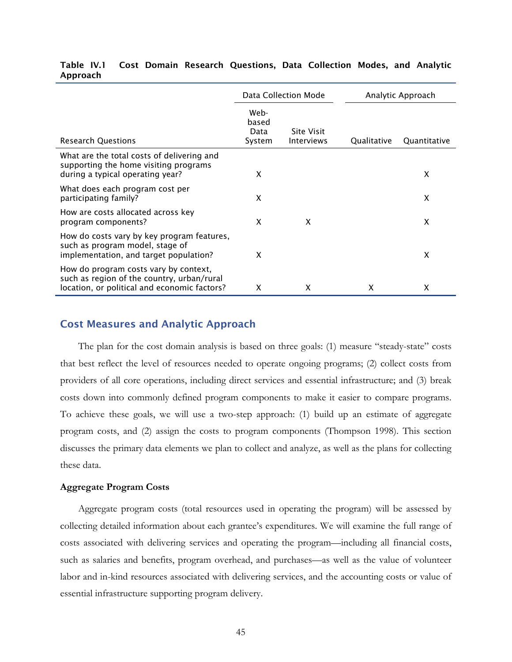|                                                                                                                                     | Data Collection Mode            |                                        | Analytic Approach |              |
|-------------------------------------------------------------------------------------------------------------------------------------|---------------------------------|----------------------------------------|-------------------|--------------|
| <b>Research Questions</b>                                                                                                           | Web-<br>based<br>Data<br>System | <b>Site Visit</b><br><b>Interviews</b> | Qualitative       | Quantitative |
| What are the total costs of delivering and<br>supporting the home visiting programs<br>during a typical operating year?             | X                               |                                        |                   | X            |
| What does each program cost per<br>participating family?                                                                            | X                               |                                        |                   | X            |
| How are costs allocated across key<br>program components?                                                                           | X                               | X                                      |                   | x            |
| How do costs vary by key program features,<br>such as program model, stage of<br>implementation, and target population?             | X                               |                                        |                   | X            |
| How do program costs vary by context,<br>such as region of the country, urban/rural<br>location, or political and economic factors? | X                               | X                                      | X                 | X            |

# Table IV.1 Cost Domain Research Questions, Data Collection Modes, and Analytic Approach

# Cost Measures and Analytic Approach

The plan for the cost domain analysis is based on three goals: (1) measure "steady-state" costs that best reflect the level of resources needed to operate ongoing programs; (2) collect costs from providers of all core operations, including direct services and essential infrastructure; and (3) break costs down into commonly defined program components to make it easier to compare programs. To achieve these goals, we will use a two-step approach: (1) build up an estimate of aggregate program costs, and (2) assign the costs to program components (Thompson 1998). This section discusses the primary data elements we plan to collect and analyze, as well as the plans for collecting these data.

# **Aggregate Program Costs**

Aggregate program costs (total resources used in operating the program) will be assessed by collecting detailed information about each grantee's expenditures. We will examine the full range of costs associated with delivering services and operating the program—including all financial costs, such as salaries and benefits, program overhead, and purchases—as well as the value of volunteer labor and in-kind resources associated with delivering services, and the accounting costs or value of essential infrastructure supporting program delivery.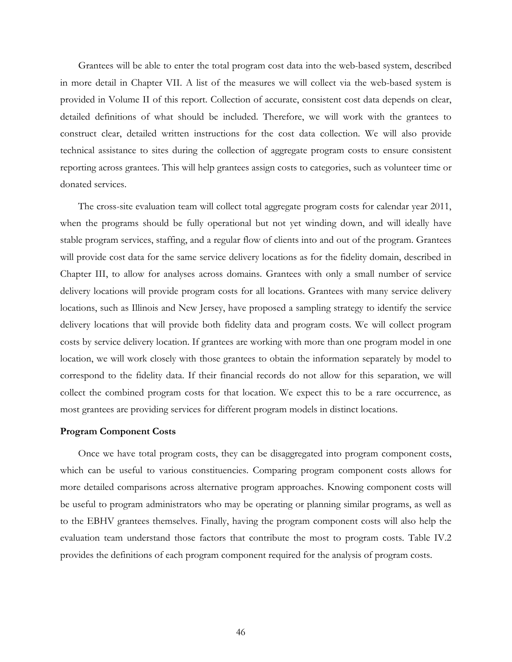Grantees will be able to enter the total program cost data into the web-based system, described in more detail in Chapter VII. A list of the measures we will collect via the web-based system is provided in Volume II of this report. Collection of accurate, consistent cost data depends on clear, detailed definitions of what should be included. Therefore, we will work with the grantees to construct clear, detailed written instructions for the cost data collection. We will also provide technical assistance to sites during the collection of aggregate program costs to ensure consistent reporting across grantees. This will help grantees assign costs to categories, such as volunteer time or donated services.

The cross-site evaluation team will collect total aggregate program costs for calendar year 2011, when the programs should be fully operational but not yet winding down, and will ideally have stable program services, staffing, and a regular flow of clients into and out of the program. Grantees will provide cost data for the same service delivery locations as for the fidelity domain, described in Chapter III, to allow for analyses across domains. Grantees with only a small number of service delivery locations will provide program costs for all locations. Grantees with many service delivery locations, such as Illinois and New Jersey, have proposed a sampling strategy to identify the service delivery locations that will provide both fidelity data and program costs. We will collect program costs by service delivery location. If grantees are working with more than one program model in one location, we will work closely with those grantees to obtain the information separately by model to correspond to the fidelity data. If their financial records do not allow for this separation, we will collect the combined program costs for that location. We expect this to be a rare occurrence, as most grantees are providing services for different program models in distinct locations.

#### **Program Component Costs**

Once we have total program costs, they can be disaggregated into program component costs, which can be useful to various constituencies. Comparing program component costs allows for more detailed comparisons across alternative program approaches. Knowing component costs will be useful to program administrators who may be operating or planning similar programs, as well as to the EBHV grantees themselves. Finally, having the program component costs will also help the evaluation team understand those factors that contribute the most to program costs. Table IV.2 provides the definitions of each program component required for the analysis of program costs.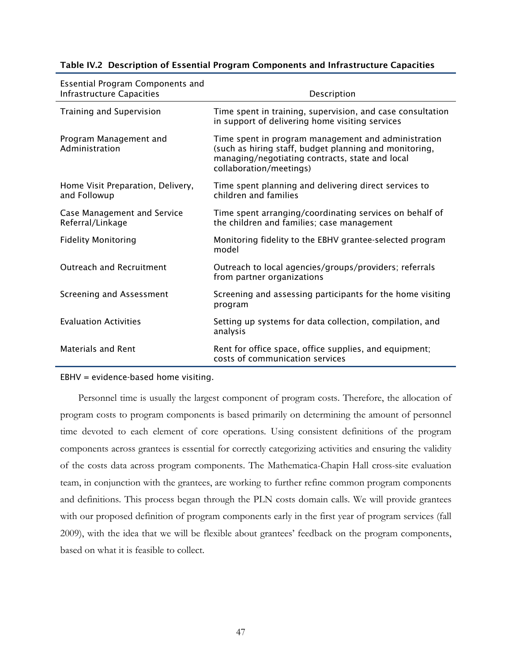| <b>Essential Program Components and</b><br><b>Infrastructure Capacities</b> | Description                                                                                                                                                                                 |
|-----------------------------------------------------------------------------|---------------------------------------------------------------------------------------------------------------------------------------------------------------------------------------------|
| Training and Supervision                                                    | Time spent in training, supervision, and case consultation<br>in support of delivering home visiting services                                                                               |
| Program Management and<br>Administration                                    | Time spent in program management and administration<br>(such as hiring staff, budget planning and monitoring,<br>managing/negotiating contracts, state and local<br>collaboration/meetings) |
| Home Visit Preparation, Delivery,<br>and Followup                           | Time spent planning and delivering direct services to<br>children and families                                                                                                              |
| <b>Case Management and Service</b><br>Referral/Linkage                      | Time spent arranging/coordinating services on behalf of<br>the children and families; case management                                                                                       |
| <b>Fidelity Monitoring</b>                                                  | Monitoring fidelity to the EBHV grantee-selected program<br>model                                                                                                                           |
| <b>Outreach and Recruitment</b>                                             | Outreach to local agencies/groups/providers; referrals<br>from partner organizations                                                                                                        |
| Screening and Assessment                                                    | Screening and assessing participants for the home visiting<br>program                                                                                                                       |
| <b>Evaluation Activities</b>                                                | Setting up systems for data collection, compilation, and<br>analysis                                                                                                                        |
| <b>Materials and Rent</b>                                                   | Rent for office space, office supplies, and equipment;<br>costs of communication services                                                                                                   |

# Table IV.2 Description of Essential Program Components and Infrastructure Capacities

#### EBHV = evidence-based home visiting.

Personnel time is usually the largest component of program costs. Therefore, the allocation of program costs to program components is based primarily on determining the amount of personnel time devoted to each element of core operations. Using consistent definitions of the program components across grantees is essential for correctly categorizing activities and ensuring the validity of the costs data across program components. The Mathematica-Chapin Hall cross-site evaluation team, in conjunction with the grantees, are working to further refine common program components and definitions. This process began through the PLN costs domain calls. We will provide grantees with our proposed definition of program components early in the first year of program services (fall 2009), with the idea that we will be flexible about grantees' feedback on the program components, based on what it is feasible to collect.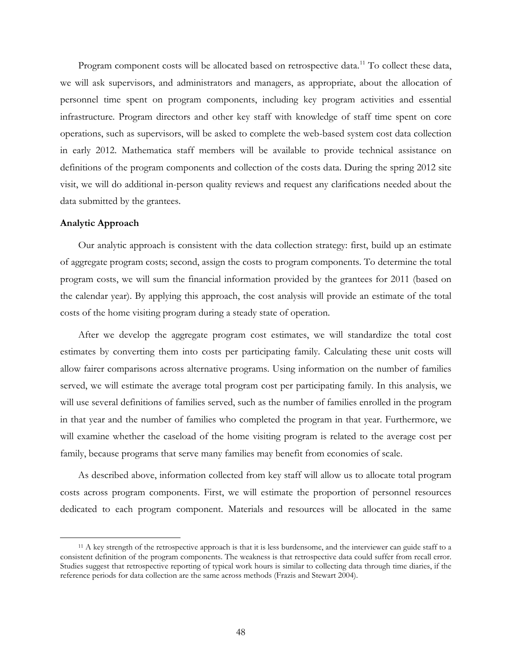Program component costs will be allocated based on retrospective data.<sup>11</sup> To collect these data, we will ask supervisors, and administrators and managers, as appropriate, about the allocation of personnel time spent on program components, including key program activities and essential infrastructure. Program directors and other key staff with knowledge of staff time spent on core operations, such as supervisors, will be asked to complete the web-based system cost data collection in early 2012. Mathematica staff members will be available to provide technical assistance on definitions of the program components and collection of the costs data. During the spring 2012 site visit, we will do additional in-person quality reviews and request any clarifications needed about the data submitted by the grantees.

## **Analytic Approach**

Our analytic approach is consistent with the data collection strategy: first, build up an estimate of aggregate program costs; second, assign the costs to program components. To determine the total program costs, we will sum the financial information provided by the grantees for 2011 (based on the calendar year). By applying this approach, the cost analysis will provide an estimate of the total costs of the home visiting program during a steady state of operation.

After we develop the aggregate program cost estimates, we will standardize the total cost estimates by converting them into costs per participating family. Calculating these unit costs will allow fairer comparisons across alternative programs. Using information on the number of families served, we will estimate the average total program cost per participating family. In this analysis, we will use several definitions of families served, such as the number of families enrolled in the program in that year and the number of families who completed the program in that year. Furthermore, we will examine whether the caseload of the home visiting program is related to the average cost per family, because programs that serve many families may benefit from economies of scale.

As described above, information collected from key staff will allow us to allocate total program costs across program components. First, we will estimate the proportion of personnel resources dedicated to each program component. Materials and resources will be allocated in the same

<span id="page-5-0"></span><sup>&</sup>lt;sup>11</sup> A key strength of the retrospective approach is that it is less burdensome, and the interviewer can guide staff to a consistent definition of the program components. The weakness is that retrospective data could suffer from recall error. Studies suggest that retrospective reporting of typical work hours is similar to collecting data through time diaries, if the reference periods for data collection are the same across methods (Frazis and Stewart 2004).